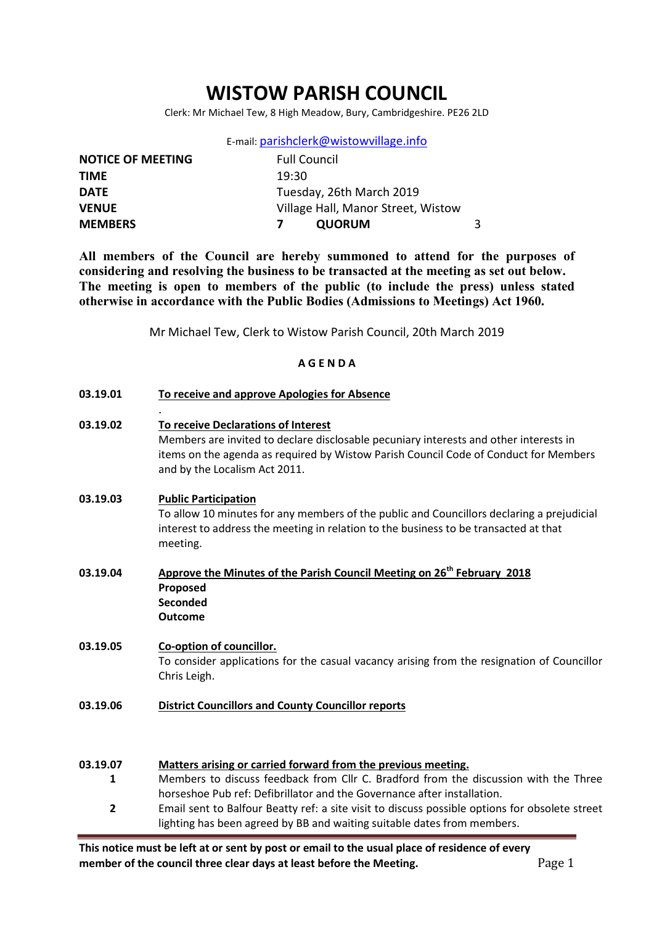# WISTOW PARISH COUNCIL

Clerk: Mr Michael Tew, 8 High Meadow, Bury, Cambridgeshire. PE26 2LD

E-mail: parishclerk@wistowvillage.info

| <b>NOTICE OF MEETING</b> | <b>Full Council</b>                |  |
|--------------------------|------------------------------------|--|
| <b>TIME</b>              | 19:30                              |  |
| <b>DATE</b>              | Tuesday, 26th March 2019           |  |
| <b>VENUE</b>             | Village Hall, Manor Street, Wistow |  |
| <b>MEMBERS</b>           | <b>QUORUM</b>                      |  |

All members of the Council are hereby summoned to attend for the purposes of considering and resolving the business to be transacted at the meeting as set out below. The meeting is open to members of the public (to include the press) unless stated otherwise in accordance with the Public Bodies (Admissions to Meetings) Act 1960.

Mr Michael Tew, Clerk to Wistow Parish Council, 20th March 2019

### A G E N D A

| 03.19.01      | To receive and approve Apologies for Absence                                                                                                                                                                                                          |
|---------------|-------------------------------------------------------------------------------------------------------------------------------------------------------------------------------------------------------------------------------------------------------|
| 03.19.02      | To receive Declarations of Interest<br>Members are invited to declare disclosable pecuniary interests and other interests in<br>items on the agenda as required by Wistow Parish Council Code of Conduct for Members<br>and by the Localism Act 2011. |
| 03.19.03      | <b>Public Participation</b><br>To allow 10 minutes for any members of the public and Councillors declaring a prejudicial<br>interest to address the meeting in relation to the business to be transacted at that<br>meeting.                          |
| 03.19.04      | Approve the Minutes of the Parish Council Meeting on 26 <sup>th</sup> February 2018<br>Proposed<br>Seconded<br><b>Outcome</b>                                                                                                                         |
| 03.19.05      | Co-option of councillor.<br>To consider applications for the casual vacancy arising from the resignation of Councillor<br>Chris Leigh.                                                                                                                |
| 03.19.06      | <b>District Councillors and County Councillor reports</b>                                                                                                                                                                                             |
| 03.19.07<br>1 | Matters arising or carried forward from the previous meeting.<br>Members to discuss feedback from Cllr C. Bradford from the discussion with the Three<br>horseshoe Pub ref: Defibrillator and the Governance after installation.                      |
| Τ.            | Email cont to Ralfour Roatty rof: a cito vicit to discuss nossible ontions for obsolete street                                                                                                                                                        |

2 Email sent to Balfour Beatty ref: a site visit to discuss possible options for obsolete street lighting has been agreed by BB and waiting suitable dates from members.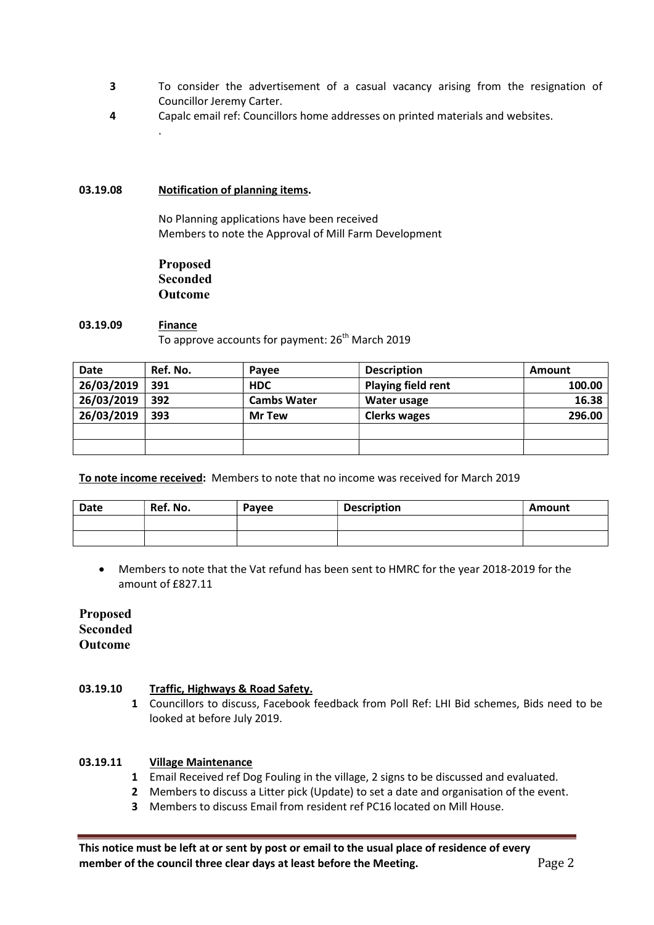- 3 To consider the advertisement of a casual vacancy arising from the resignation of Councillor Jeremy Carter.
- 4 Capalc email ref: Councillors home addresses on printed materials and websites.

### 03.19.08 Notification of planning items.

.

No Planning applications have been received Members to note the Approval of Mill Farm Development

Proposed Seconded Outcome

### 03.19.09 Finance To approve accounts for payment:  $26<sup>th</sup>$  March 2019

| <b>Date</b> | Ref. No. | <b>Pavee</b>       | <b>Description</b>        | <b>Amount</b> |
|-------------|----------|--------------------|---------------------------|---------------|
| 26/03/2019  | 391      | <b>HDC</b>         | <b>Playing field rent</b> | 100.00        |
| 26/03/2019  | 392      | <b>Cambs Water</b> | Water usage               | 16.38         |
| 26/03/2019  | 393      | <b>Mr Tew</b>      | <b>Clerks wages</b>       | 296.00        |
|             |          |                    |                           |               |
|             |          |                    |                           |               |

To note income received: Members to note that no income was received for March 2019

| Date | Ref. No. | Payee | <b>Description</b> | Amount |
|------|----------|-------|--------------------|--------|
|      |          |       |                    |        |
|      |          |       |                    |        |

 Members to note that the Vat refund has been sent to HMRC for the year 2018-2019 for the amount of £827.11

# Proposed Seconded Outcome

#### 03.19.10 Traffic, Highways & Road Safety.

1 Councillors to discuss, Facebook feedback from Poll Ref: LHI Bid schemes, Bids need to be looked at before July 2019.

#### 03.19.11 Village Maintenance

- 1 Email Received ref Dog Fouling in the village, 2 signs to be discussed and evaluated.
- 2 Members to discuss a Litter pick (Update) to set a date and organisation of the event.
- 3 Members to discuss Email from resident ref PC16 located on Mill House.